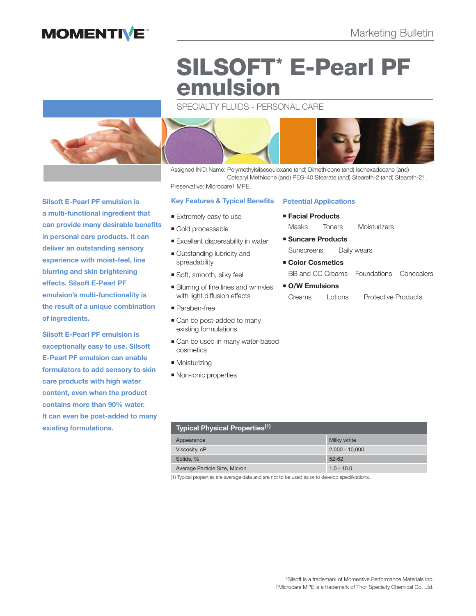## **MOMENTIVE**

# **SILSOFT\* E-Pearl PF emulsion**

SPECIALTY FLUIDS - PERSONAL CARE



Assigned INCI Name: Polymethylsilsesquioxane (and) Dimethicone (and) Isohexadecane (and) Cetearyl Methicone (and) PEG-40 Stearate (and) Steareth-2 (and) Steareth-21. Preservative: Microcare† MPE.

#### **Key Features & Typical Benefits**

- **Extremely easy to use**
- Cold processable
- **Excellent dispersability in water**
- Outstanding lubricity and spreadability
- Soft, smooth, silky feel
- **Blurring of fine lines and wrinkles** with light diffusion effects
- Paraben-free
- Can be post-added to many existing formulations
- Can be used in many water-based cosmetics
- **Moisturizing**
- **Non-ionic properties**

#### **Potential Applications**

- **Facial Products** Masks Toners Moisturizers
- **Suncare Products** Sunscreens Daily wears
- **Color Cosmetics** BB and CC Creams Foundations Concealers
- **O/W Emulsions** Creams Lotions Protective Products

| Typical Physical Properties <sup>(1) I</sup> |  |  |  |
|----------------------------------------------|--|--|--|
| Milky white                                  |  |  |  |
| $2,000 - 10,000$                             |  |  |  |
| $52 - 62$                                    |  |  |  |
| $1.0 - 10.0$                                 |  |  |  |
|                                              |  |  |  |

(1) Typical properties are average data and are not to be used as or to develop specifications.

**Silsoft E-Pearl PF emulsion is a multi-functional ingredient that can provide many desirable benefits in personal care products. It can deliver an outstanding sensory experience with moist-feel, line blurring and skin brightening effects. Silsoft E-Pearl PF emulsion's multi-functionality is the result of a unique combination of ingredients.**

**Silsoft E-Pearl PF emulsion is exceptionally easy to use. Silsoft E-Pearl PF emulsion can enable formulators to add sensory to skin care products with high water content, even when the product contains more than 90% water. It can even be post-added to many existing formulations.**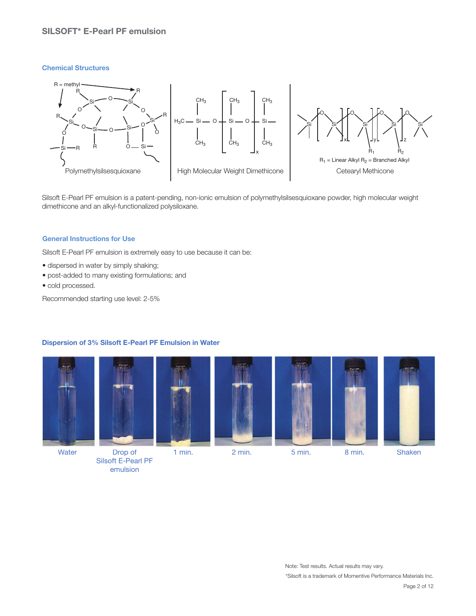### **SILSOFT\* E-Pearl PF emulsion**

#### **Chemical Structures**



Silsoft E-Pearl PF emulsion is a patent-pending, non-ionic emulsion of polymethylsilsesquioxane powder, high molecular weight dimethicone and an alkyl-functionalized polysiloxane.

#### **General Instructions for Use**

Silsoft E-Pearl PF emulsion is extremely easy to use because it can be:

- dispersed in water by simply shaking;
- post-added to many existing formulations; and
- cold processed.

Recommended starting use level: 2-5%

#### **Dispersion of 3% Silsoft E-Pearl PF Emulsion in Water**











 Silsoft E-Pearl PF emulsion

\*Silsoft is a trademark of Momentive Performance Materials Inc. Note: Test results. Actual results may vary.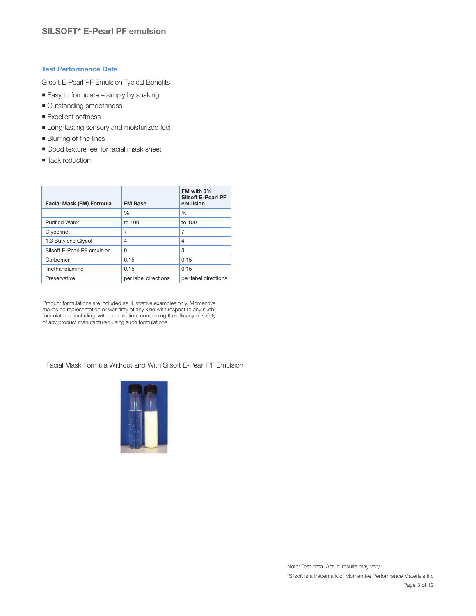#### **Test Performance Data**

Silsoft E-Pearl PF Emulsion Typical Benefits

- $\blacksquare$  Easy to formulate simply by shaking
- **Outstanding smoothness**
- **Excellent softness**
- **Long-lasting sensory and moisturized feel**
- **Blurring of fine lines**
- Good texture feel for facial mask sheet
- Tack reduction

| Facial Mask (FM) Formula    | <b>FM Base</b>       | FM with 3%<br><b>Silsoft E-Pearl PF</b><br>emulsion |
|-----------------------------|----------------------|-----------------------------------------------------|
|                             | $\frac{0}{0}$        | $\%$                                                |
| <b>Purified Water</b>       | to 100               | to 100                                              |
| Glycerine                   | 7                    | 7                                                   |
| 1,3 Butylene Glycol         | 4                    | 4                                                   |
| Silsoft E-Pearl PF emulsion | O                    | 3                                                   |
| Carbomer                    | 0.15                 | 0.15                                                |
| Triethanolamine             | 0.15                 | 0.15                                                |
| Preservative                | per label directions | per label directions                                |

Product formulations are included as illustrative examples only. Momentive makes no representation or warranty of any kind with respect to any such formulations, including, without limitation, concerning the efficacy or safety of any product manufactured using such formulations.

Facial Mask Formula Without and With Silsoft E-Pearl PF Emulsion

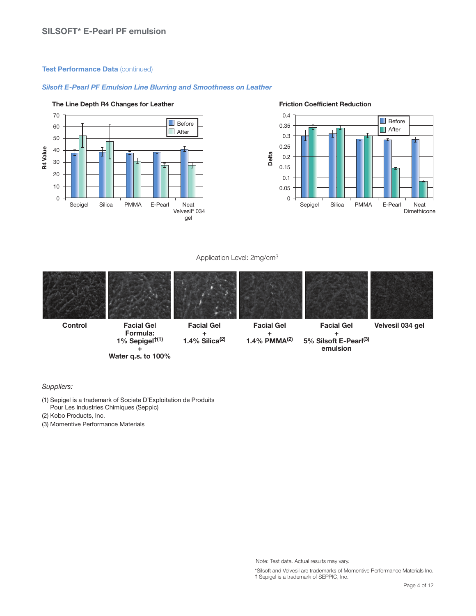#### **Test Performance Data** (continued)

#### *Silsoft E-Pearl PF Emulsion Line Blurring and Smoothness on Leather*



#### The Line Depth R4 Changes for Leather **Friction Coefficient Reduction**



#### Application Level: 2mg/cm3



*+* + emulsion

Suppliers:

(1) Sepigel is a trademark of Societe D'Exploitation de Produits Pour Les Industries Chimiques (Seppic)

 **Water q.s. to 100%**

- (2) Kobo Products, Inc.
- (3) Momentive Performance Materials

\*Silsoft and Velvesil are trademarks of Momentive Performance Materials Inc. † Sepigel is a trademark of SEPPIC, Inc.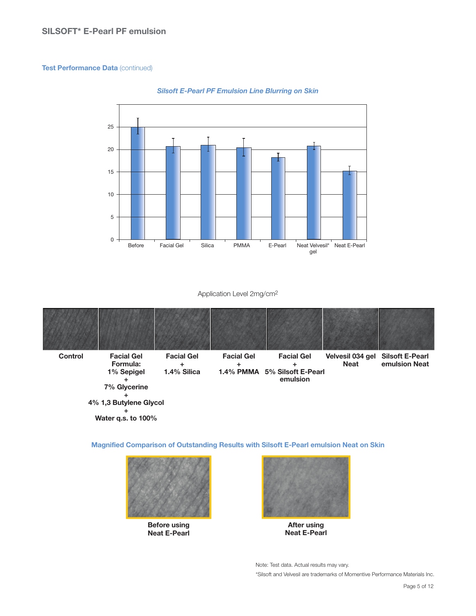#### **Test Performance Data** (continued)



#### *Silsoft E-Pearl PF Emulsion Line Blurring on Skin*

#### Application Level 2mg/cm2

| <b>Control</b> | <b>Facial Gel</b><br>Formula:<br>1% Sepigel<br>7% Glycerine | <b>Facial Gel</b><br>1.4% Silica | <b>Facial Gel</b> | <b>Facial Gel</b><br>1.4% PMMA 5% Silsoft E-Pearl<br>emulsion | Velvesil 034 gel<br><b>Neat</b> | <b>Silsoft E-Pearl</b><br>emulsion Neat |
|----------------|-------------------------------------------------------------|----------------------------------|-------------------|---------------------------------------------------------------|---------------------------------|-----------------------------------------|
|                | 4% 1,3 Butylene Glycol                                      |                                  |                   |                                                               |                                 |                                         |
|                |                                                             |                                  |                   |                                                               |                                 |                                         |

 **Water q.s. to 100%**

**Magnified Comparison of Outstanding Results with Silsoft E-Pearl emulsion Neat on Skin**



**Before using Neat E-Pearl**



**After using Neat E-Pearl**

\*Silsoft and Velvesil are trademarks of Momentive Performance Materials Inc. Note: Test data. Actual results may vary.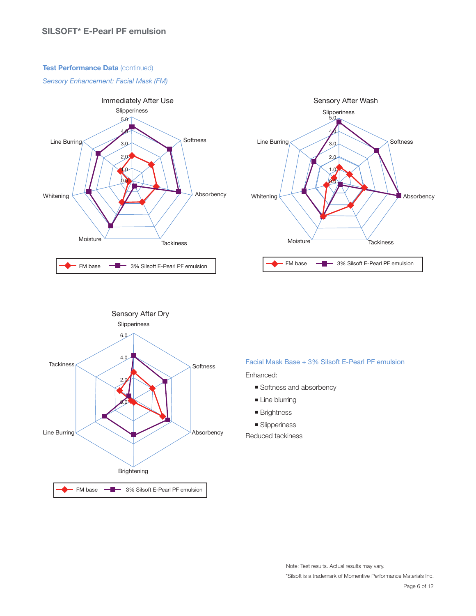#### **Test Performance Data** (continued)

Sensory Enhancement: Facial Mask (FM)







#### Facial Mask Base + 3% Silsoft E-Pearl PF emulsion

Enhanced:

- Softness and absorbency
- **Line blurring**
- **Brightness**
- **Slipperiness**

Reduced tackiness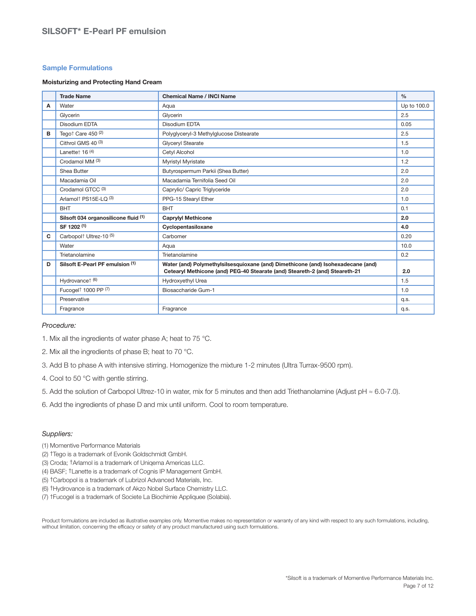#### **Sample Formulations**

#### **Moisturizing and Protecting Hand Cream**

|   | <b>Trade Name</b>                              | <b>Chemical Name / INCI Name</b>                                                                                                                                | $\frac{0}{0}$ |
|---|------------------------------------------------|-----------------------------------------------------------------------------------------------------------------------------------------------------------------|---------------|
| Α | Water                                          | Aqua                                                                                                                                                            | Up to 100.0   |
|   | Glycerin                                       | Glvcerin                                                                                                                                                        | 2.5           |
|   | Disodium EDTA                                  | Disodium EDTA                                                                                                                                                   | 0.05          |
| в | Tego <sup>+</sup> Care 450 <sup>(2)</sup>      | Polyglyceryl-3 Methylglucose Distearate                                                                                                                         | 2.5           |
|   | Cithrol GMS 40 (3)                             | Glyceryl Stearate                                                                                                                                               | 1.5           |
|   | Lanettet $16(4)$                               | Cetyl Alcohol                                                                                                                                                   | 1.0           |
|   | Crodamol MM (3)                                | Myristyl Myristate                                                                                                                                              | 1.2           |
|   | Shea Butter                                    | Butyrospermum Parkii (Shea Butter)                                                                                                                              | 2.0           |
|   | Macadamia Oil                                  | Macadamia Ternifolia Seed Oil                                                                                                                                   | 2.0           |
|   | Crodamol GTCC (3)                              | Caprylic/ Capric Triglyceride                                                                                                                                   | 2.0           |
|   | Arlamolt PS15E-LQ (3)                          | PPG-15 Stearyl Ether                                                                                                                                            | 1.0           |
|   | <b>BHT</b>                                     | <b>BHT</b>                                                                                                                                                      | 0.1           |
|   | Silsoft 034 organosilicone fluid (1)           | <b>Caprylyl Methicone</b>                                                                                                                                       | 2.0           |
|   | SF 1202 (1)                                    | Cyclopentasiloxane                                                                                                                                              | 4.0           |
| C | Carbopol <sup>†</sup> Ultrez-10 <sup>(5)</sup> | Carbomer                                                                                                                                                        | 0.20          |
|   | Water                                          | Aqua                                                                                                                                                            | 10.0          |
|   | Trietanolamine                                 | Trietanolamine                                                                                                                                                  | 0.2           |
| D | Silsoft E-Pearl PF emulsion (1)                | Water (and) Polymethylsilsesquioxane (and) Dimethicone (and) Isohexadecane (and)<br>Cetearyl Methicone (and) PEG-40 Stearate (and) Steareth-2 (and) Steareth-21 | 2.0           |
|   | Hydrovancet (6)                                | Hydroxyethyl Urea                                                                                                                                               | 1.5           |
|   | Fucogel <sup>†</sup> 1000 PP (7)               | Biosaccharide Gum-1                                                                                                                                             | 1.0           |
|   | Preservative                                   |                                                                                                                                                                 | q.s.          |
|   | Fragrance                                      | Fragrance                                                                                                                                                       | q.s.          |

#### Procedure:

- 1. Mix all the ingredients of water phase A; heat to 75 °C.
- 2. Mix all the ingredients of phase B; heat to 70 °C.
- 3. Add B to phase A with intensive stirring. Homogenize the mixture 1-2 minutes (Ultra Turrax-9500 rpm).
- 4. Cool to 50 °C with gentle stirring.
- 5. Add the solution of Carbopol Ultrez-10 in water, mix for 5 minutes and then add Triethanolamine (Adjust pH ≈ 6.0-7.0).
- 6. Add the ingredients of phase D and mix until uniform. Cool to room temperature.

#### Suppliers:

- (1) Momentive Performance Materials
- (2) †Tego is a trademark of Evonik Goldschmidt GmbH.
- (3) Croda; †Arlamol is a trademark of Uniqema Americas LLC.
- (4) BASF; †Lanette is a trademark of Cognis IP Management GmbH.
- (5) †Carbopol is a trademark of Lubrizol Advanced Materials, Inc.
- (6) †Hydrovance is a trademark of Akzo Nobel Surface Chemistry LLC.
- (7) †Fucogel is a trademark of Societe La Biochimie Appliquee (Solabia).

Product formulations are included as illustrative examples only. Momentive makes no representation or warranty of any kind with respect to any such formulations, including, without limitation, concerning the efficacy or safety of any product manufactured using such formulations.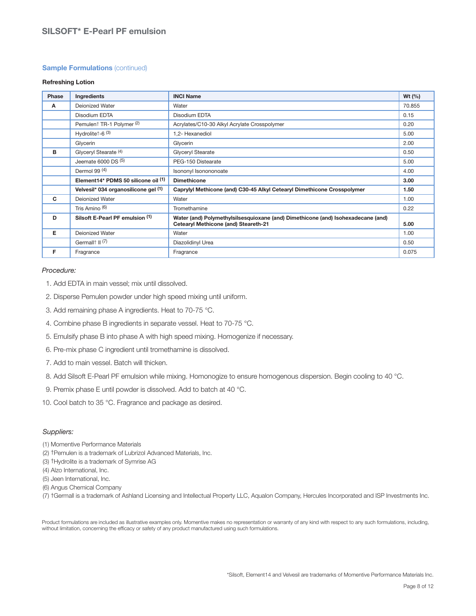#### **Sample Formulations** (continued)

#### **Refreshing Lotion**

| Phase | Ingredients                              | <b>INCI Name</b>                                                                                                         | Wt $(% )$ |
|-------|------------------------------------------|--------------------------------------------------------------------------------------------------------------------------|-----------|
| A     | <b>Deionized Water</b>                   | Water                                                                                                                    | 70.855    |
|       | Disodium EDTA                            | Disodium EDTA                                                                                                            | 0.15      |
|       | Pemulent TR-1 Polymer (2)                | Acrylates/C10-30 Alkyl Acrylate Crosspolymer                                                                             | 0.20      |
|       | Hydrolite <sup>+</sup> -6 <sup>(3)</sup> | 1,2- Hexanediol                                                                                                          | 5.00      |
|       | Glycerin                                 | Glycerin                                                                                                                 | 2.00      |
| в     | Glyceryl Stearate (4)                    | Glyceryl Stearate                                                                                                        | 0.50      |
|       | Jeemate $6000$ DS $(5)$                  | PEG-150 Distearate                                                                                                       | 5.00      |
|       | Dermol 99 $(4)$                          | Isononyl Isonononoate                                                                                                    | 4.00      |
|       | Element14* PDMS 50 silicone oil (1)      | <b>Dimethicone</b>                                                                                                       | 3.00      |
|       | Velvesil* 034 organosilicone gel (1)     | Caprylyl Methicone (and) C30-45 Alkyl Cetearyl Dimethicone Crosspolymer                                                  | 1.50      |
| C     | <b>Deionized Water</b>                   | Water                                                                                                                    | 1.00      |
|       | Tris Amino (6)                           | Tromethamine                                                                                                             | 0.22      |
| D     | Silsoft E-Pearl PF emulsion (1)          | Water (and) Polymethylsilsesquioxane (and) Dimethicone (and) Isohexadecane (and)<br>Cetearyl Methicone (and) Steareth-21 | 5.00      |
| Е     | Deionized Water                          | Water                                                                                                                    | 1.00      |
|       | Germall <sup>†</sup> II <sup>(7)</sup>   | Diazolidinyl Urea                                                                                                        | 0.50      |
| F     | Fragrance                                | Fragrance                                                                                                                | 0.075     |

#### Procedure:

- 1. Add EDTA in main vessel; mix until dissolved.
- 2. Disperse Pemulen powder under high speed mixing until uniform.
- 3. Add remaining phase A ingredients. Heat to 70-75 °C.
- 4. Combine phase B ingredients in separate vessel. Heat to 70-75 °C.
- 5. Emulsify phase B into phase A with high speed mixing. Homogenize if necessary.
- 6. Pre-mix phase C ingredient until tromethamine is dissolved.
- 7. Add to main vessel. Batch will thicken.
- 8. Add Silsoft E-Pearl PF emulsion while mixing. Homonogize to ensure homogenous dispersion. Begin cooling to 40 °C.
- 9. Premix phase E until powder is dissolved. Add to batch at 40 °C.
- 10. Cool batch to 35 °C. Fragrance and package as desired.

#### Suppliers:

- (1) Momentive Performance Materials
- (2) †Pemulen is a trademark of Lubrizol Advanced Materials, Inc.
- (3) †Hydrolite is a trademark of Symrise AG
- (4) Alzo International, Inc.
- (5) Jeen International, Inc.
- (6) Angus Chemical Company
- (7) †Germall is a trademark of Ashland Licensing and Intellectual Property LLC, Aqualon Company, Hercules Incorporated and ISP Investments Inc.

Product formulations are included as illustrative examples only. Momentive makes no representation or warranty of any kind with respect to any such formulations, including, without limitation, concerning the efficacy or safety of any product manufactured using such formulations.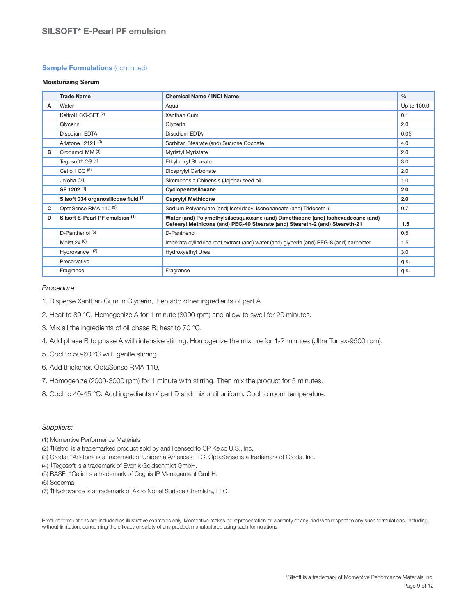#### **Sample Formulations** (continued)

#### **Moisturizing Serum**

|   | <b>Trade Name</b>                          | <b>Chemical Name / INCI Name</b>                                                                                                                                | $\frac{0}{0}$ |
|---|--------------------------------------------|-----------------------------------------------------------------------------------------------------------------------------------------------------------------|---------------|
| A | Water                                      | Aqua                                                                                                                                                            | Up to 100.0   |
|   | Keltrol <sup>†</sup> CG-SFT <sup>(2)</sup> | Xanthan Gum                                                                                                                                                     | 0.1           |
|   | Glycerin                                   | Glycerin                                                                                                                                                        | 2.0           |
|   | Disodium EDTA                              | Disodium EDTA                                                                                                                                                   | 0.05          |
|   | Arlatone† 2121 (3)                         | Sorbitan Stearate (and) Sucrose Cocoate                                                                                                                         | 4.0           |
| в | Crodamol MM (3)                            | Myristyl Myristate                                                                                                                                              | 2.0           |
|   | Tegosoft <sup>+</sup> OS <sup>(4)</sup>    | Ethylhexyl Stearate                                                                                                                                             | 3.0           |
|   | Cetiol <sup>+</sup> CC <sup>(5)</sup>      | Dicaprylyl Carbonate                                                                                                                                            | 2.0           |
|   | Jojoba Oil                                 | Simmondsia Chinensis (Jojoba) seed oil                                                                                                                          | 1.0           |
|   | SF 1202 (1)                                | Cyclopentasiloxane                                                                                                                                              | 2.0           |
|   | Silsoft 034 organosilicone fluid (1)       | <b>Caprylyl Methicone</b>                                                                                                                                       | 2.0           |
| C | OptaSense RMA 110 (3)                      | Sodium Polyacrylate (and) Isotridecyl Isononanoate (and) Trideceth-6                                                                                            | 0.7           |
| D | Silsoft E-Pearl PF emulsion (1)            | Water (and) Polymethylsilsesquioxane (and) Dimethicone (and) Isohexadecane (and)<br>Cetearyl Methicone (and) PEG-40 Stearate (and) Steareth-2 (and) Steareth-21 | 1.5           |
|   | D-Panthenol <sup>(5)</sup>                 | D-Panthenol                                                                                                                                                     | 0.5           |
|   | Moist 24 $(6)$                             | Imperata cylindrica root extract (and) water (and) glycerin (and) PEG-8 (and) carbomer                                                                          | 1.5           |
|   | Hydrovance <sup><math>+</math> (7)</sup>   | Hydroxyethyl Urea                                                                                                                                               | 3.0           |
|   | Preservative                               |                                                                                                                                                                 | q.s.          |
|   | Fragrance                                  | Fragrance                                                                                                                                                       | q.s.          |

#### Procedure:

- 1. Disperse Xanthan Gum in Glycerin, then add other ingredients of part A.
- 2. Heat to 80 °C. Homogenize A for 1 minute (8000 rpm) and allow to swell for 20 minutes.
- 3. Mix all the ingredients of oil phase B; heat to 70 °C.
- 4. Add phase B to phase A with intensive stirring. Homogenize the mixture for 1-2 minutes (Ultra Turrax-9500 rpm).
- 5. Cool to 50-60 °C with gentle stirring.
- 6. Add thickener, OptaSense RMA 110.
- 7. Homogenize (2000-3000 rpm) for 1 minute with stirring. Then mix the product for 5 minutes.
- 8. Cool to 40-45 °C. Add ingredients of part D and mix until uniform. Cool to room temperature.

#### Suppliers:

- (1) Momentive Performance Materials
- (2) †Keltrol is a trademarked product sold by and licensed to CP Kelco U.S., Inc.
- (3) Croda; †Arlatone is a trademark of Uniqema Americas LLC. OptaSense is a trademark of Croda, Inc.
- (4) †Tegosoft is a trademark of Evonik Goldschmidt GmbH.
- (5) BASF; †Cetiol is a trademark of Cognis IP Management GmbH.
- (6) Sederma
- (7) †Hydrovance is a trademark of Akzo Nobel Surface Chemistry, LLC.

Product formulations are included as illustrative examples only. Momentive makes no representation or warranty of any kind with respect to any such formulations, including, without limitation, concerning the efficacy or safety of any product manufactured using such formulations.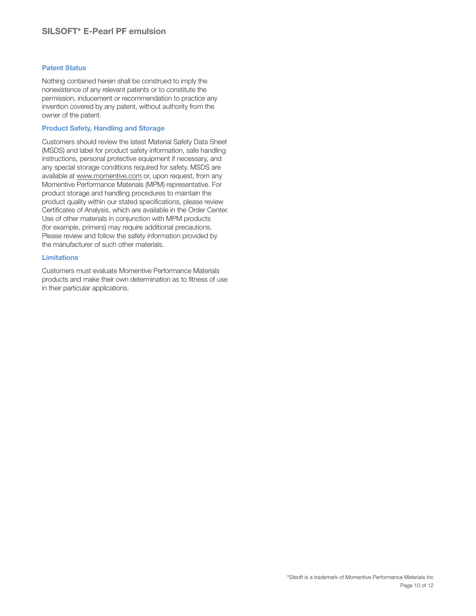#### **Patent Status**

Nothing contained herein shall be construed to imply the nonexistence of any relevant patents or to constitute the permission, inducement or recommendation to practice any invention covered by any patent, without authority from the owner of the patent.

#### **Product Safety, Handling and Storage**

Customers should review the latest Material Safety Data Sheet (MSDS) and label for product safety information, safe handling instructions, personal protective equipment if necessary, and any special storage conditions required for safety. MSDS are available at www.momentive.com or, upon request, from any Momentive Performance Materials (MPM) representative. For product storage and handling procedures to maintain the product quality within our stated specifications, please review Certificates of Analysis, which are available in the Order Center. Use of other materials in conjunction with MPM products (for example, primers) may require additional precautions. Please review and follow the safety information provided by the manufacturer of such other materials.

#### **Limitations**

Customers must evaluate Momentive Performance Materials products and make their own determination as to fitness of use in their particular applications.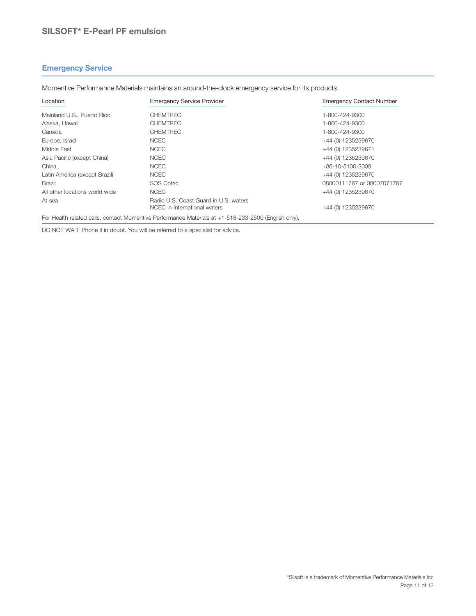#### **Emergency Service**

Momentive Performance Materials maintains an around-the-clock emergency service for its products.

| Location                       | <b>Emergency Service Provider</b>                                     | <b>Emergency Contact Number</b> |
|--------------------------------|-----------------------------------------------------------------------|---------------------------------|
| Mainland U.S., Puerto Rico     | <b>CHEMTREC</b>                                                       | 1-800-424-9300                  |
| Alaska, Hawaii                 | <b>CHEMTREC</b>                                                       | 1-800-424-9300                  |
| Canada                         | <b>CHEMTREC</b>                                                       | 1-800-424-9300                  |
| Europe, Israel                 | <b>NCEC</b>                                                           | +44 (0) 1235239670              |
| Middle East                    | <b>NCEC</b>                                                           | +44 (0) 1235239671              |
| Asia Pacific (except China)    | <b>NCEC</b>                                                           | +44 (0) 1235239670              |
| China                          | <b>NCEC</b>                                                           | +86-10-5100-3039                |
| Latin America (except Brazil)  | <b>NCEC</b>                                                           | +44 (0) 1235239670              |
| <b>Brazil</b>                  | <b>SOS Cotec</b>                                                      | 08000111767 or 08007071767      |
| All other locations world wide | <b>NCEC</b>                                                           | +44 (0) 1235239670              |
| At sea                         | Radio U.S. Coast Guard in U.S. waters<br>NCEC in International waters | +44 (0) 1235239670              |

For Health related calls, contact Momentive Performance Materials at +1-518-233-2500 (English only).

DO NOT WAIT. Phone if in doubt. You will be referred to a specialist for advice.